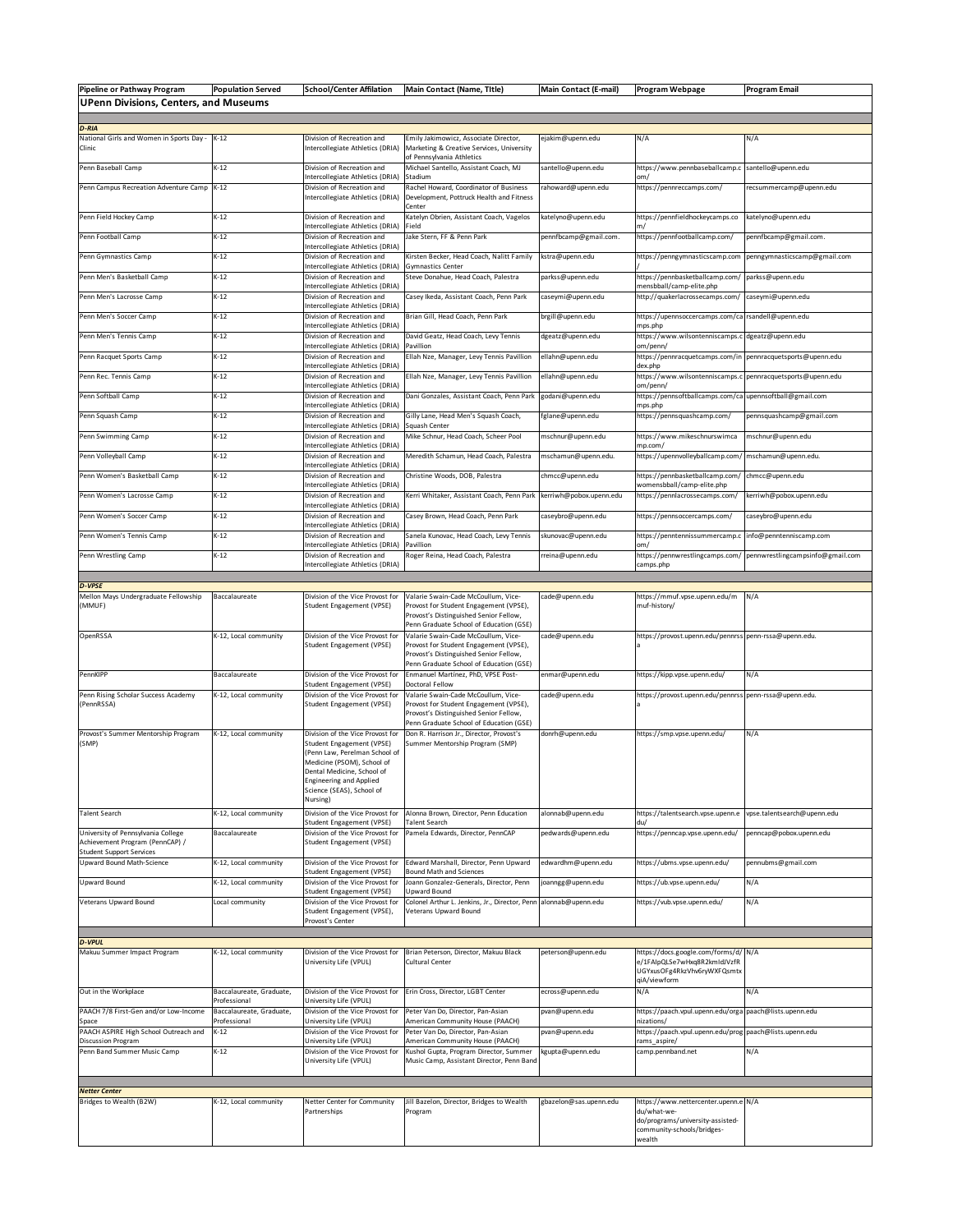| Pipeline or Pathway Program                                        | <b>Population Served</b>                 | <b>School/Center Affilation</b>                                                                                                                                                                                                       | Main Contact (Name, Title)                                                                                                                                         | Main Contact (E-mail)   | <b>Program Webpage</b>                                                                                                          | <b>Program Email</b>             |  |  |
|--------------------------------------------------------------------|------------------------------------------|---------------------------------------------------------------------------------------------------------------------------------------------------------------------------------------------------------------------------------------|--------------------------------------------------------------------------------------------------------------------------------------------------------------------|-------------------------|---------------------------------------------------------------------------------------------------------------------------------|----------------------------------|--|--|
| UPenn Divisions, Centers, and Museums                              |                                          |                                                                                                                                                                                                                                       |                                                                                                                                                                    |                         |                                                                                                                                 |                                  |  |  |
| D-RIA                                                              |                                          |                                                                                                                                                                                                                                       |                                                                                                                                                                    |                         |                                                                                                                                 |                                  |  |  |
| National Girls and Women in Sports Day -<br>Clinic                 | $K-12$                                   | Division of Recreation and<br>ntercollegiate Athletics (DRIA)                                                                                                                                                                         | Emily Jakimowicz, Associate Director,<br>Marketing & Creative Services, University<br>of Pennsylvania Athletics                                                    | ejakim@upenn.edu        | N/A                                                                                                                             | N/A                              |  |  |
| Penn Baseball Camp                                                 | $K-12$                                   | Division of Recreation and<br>Intercollegiate Athletics (DRIA)                                                                                                                                                                        | Michael Santello, Assistant Coach, MJ<br>Stadium                                                                                                                   | santello@upenn.edu      | https://www.pennbaseballcamp.c santello@upenn.edu<br>om/                                                                        |                                  |  |  |
| Penn Campus Recreation Adventure Camp                              | $K-12$                                   | Division of Recreation and<br>Intercollegiate Athletics (DRIA)                                                                                                                                                                        | Rachel Howard, Coordinator of Business<br>Development, Pottruck Health and Fitness<br>Center                                                                       | rahoward@upenn.edu      | https://pennreccamps.com/                                                                                                       | recsummercamp@upenn.edu          |  |  |
| Penn Field Hockey Camp                                             | $K-12$                                   | Division of Recreation and<br>ntercollegiate Athletics (DRIA)                                                                                                                                                                         | Katelyn Obrien, Assistant Coach, Vagelos<br>Field                                                                                                                  | katelyno@upenn.edu      | https://pennfieldhockeycamps.co                                                                                                 | katelyno@upenn.edu               |  |  |
| Penn Football Camp                                                 | $K-12$                                   | Division of Recreation and<br>Intercollegiate Athletics (DRIA)                                                                                                                                                                        | ake Stern, FF & Penn Park                                                                                                                                          | pennfbcamp@gmail.com.   | https://pennfootballcamp.com/                                                                                                   | pennfbcamp@gmail.com.            |  |  |
| Penn Gymnastics Camp                                               | $K-12$                                   | Division of Recreation and<br>Intercollegiate Athletics (DRIA)                                                                                                                                                                        | Kirsten Becker, Head Coach, Nalitt Family<br><b>Gymnastics Center</b>                                                                                              | kstra@upenn.edu         | https://penngymnasticscamp.com                                                                                                  | penngymnasticscamp@gmail.com     |  |  |
| Penn Men's Basketball Camp                                         | $K-12$                                   | Division of Recreation and<br>Intercollegiate Athletics (DRIA)                                                                                                                                                                        | Steve Donahue, Head Coach, Palestra                                                                                                                                | parkss@upenn.edu        | https://pennbasketballcamp.com/<br>mensbball/camp-elite.php                                                                     | parkss@upenn.edu                 |  |  |
| Penn Men's Lacrosse Camp                                           | $K-12$                                   | Division of Recreation and<br>Intercollegiate Athletics (DRIA)                                                                                                                                                                        | Casey Ikeda, Assistant Coach, Penn Park                                                                                                                            | caseymi@upenn.edu       | http://quakerlacrossecamps.com/                                                                                                 | caseymi@upenn.edu                |  |  |
| Penn Men's Soccer Camp                                             | $K-12$                                   | Division of Recreation and<br>ntercollegiate Athletics (DRIA)                                                                                                                                                                         | 3rian Gill, Head Coach, Penn Park                                                                                                                                  | brgill@upenn.edu        | https://upennsoccercamps.com/calrsandell@upenn.edu<br>mps.php                                                                   |                                  |  |  |
| Penn Men's Tennis Camp                                             | $K-12$                                   | Division of Recreation and<br>Intercollegiate Athletics (DRIA)                                                                                                                                                                        | David Geatz, Head Coach, Levy Tennis<br>Pavillion                                                                                                                  | dgeatz@upenn.edu        | https://www.wilsontenniscamps.c dgeatz@upenn.edu<br>om/penn/                                                                    |                                  |  |  |
| Penn Racquet Sports Camp                                           | $K-12$                                   | Division of Recreation and<br>Intercollegiate Athletics (DRIA)                                                                                                                                                                        | Ellah Nze, Manager, Levy Tennis Pavillion                                                                                                                          | ellahn@upenn.edu        | https://pennracquetcamps.com/in pennracquetsports@upenn.edu<br>dex.php                                                          |                                  |  |  |
| Penn Rec. Tennis Camp                                              | $K-12$                                   | Division of Recreation and<br>Intercollegiate Athletics (DRIA)                                                                                                                                                                        | Ellah Nze, Manager, Levy Tennis Pavillion                                                                                                                          | ellahn@upenn.edu        | https://www.wilsontenniscamps.c pennracquetsports@upenn.edu<br>om/penn/                                                         |                                  |  |  |
| Penn Softball Camp                                                 | $K-12$                                   | Division of Recreation and<br>Intercollegiate Athletics (DRIA)                                                                                                                                                                        | Dani Gonzales, Assistant Coach, Penn Park                                                                                                                          | godani@upenn.edu        | https://pennsoftballcamps.com/ca<br>mps.php                                                                                     | upennsoftball@gmail.com          |  |  |
| Penn Squash Camp                                                   | $K-12$                                   | Division of Recreation and<br>Intercollegiate Athletics (DRIA)                                                                                                                                                                        | Gilly Lane, Head Men's Squash Coach,<br>Squash Center                                                                                                              | fglane@upenn.edu        | https://pennsquashcamp.com/                                                                                                     | pennsquashcamp@gmail.com         |  |  |
| Penn Swimming Camp                                                 | $K-12$                                   | Division of Recreation and<br>Intercollegiate Athletics (DRIA)                                                                                                                                                                        | Mike Schnur, Head Coach, Scheer Pool                                                                                                                               | mschnur@upenn.edu       | https://www.mikeschnurswimca<br>mp.com/                                                                                         | mschnur@upenn.edu                |  |  |
| Penn Volleyball Camp                                               | $K-12$                                   | Division of Recreation and<br>ntercollegiate Athletics (DRIA)                                                                                                                                                                         | Meredith Schamun, Head Coach, Palestra                                                                                                                             | mschamun@upenn.edu.     | https://upennvolleyballcamp.com/ mschamun@upenn.edu.                                                                            |                                  |  |  |
| Penn Women's Basketball Camp                                       | $K-12$                                   | Division of Recreation and<br>Intercollegiate Athletics (DRIA)                                                                                                                                                                        | Christine Woods, DOB, Palestra                                                                                                                                     | chmcc@upenn.edu         | https://pennbasketballcamp.com/ chmcc@upenn.edu<br>womensbball/camp-elite.php                                                   |                                  |  |  |
| Penn Women's Lacrosse Camp                                         | $K-12$                                   | Division of Recreation and<br>Intercollegiate Athletics (DRIA)                                                                                                                                                                        | Kerri Whitaker, Assistant Coach, Penn Park                                                                                                                         | kerriwh@pobox.upenn.edu | https://pennlacrossecamps.com/                                                                                                  | kerriwh@pobox.upenn.edu          |  |  |
| Penn Women's Soccer Camp                                           | $K-12$                                   | Division of Recreation and<br>ntercollegiate Athletics (DRIA)                                                                                                                                                                         | Casey Brown, Head Coach, Penn Park                                                                                                                                 | caseybro@upenn.edu      | https://pennsoccercamps.com/                                                                                                    | caseybro@upenn.edu               |  |  |
| Penn Women's Tennis Camp                                           | $K-12$                                   | Division of Recreation and<br>Intercollegiate Athletics (DRIA)                                                                                                                                                                        | Sanela Kunovac, Head Coach, Levy Tennis<br>Pavillion                                                                                                               | skunovac@upenn.edu      | https://penntennissummercamp.o<br>om/                                                                                           | info@penntenniscamp.com          |  |  |
| Penn Wrestling Camp                                                | $K-12$                                   | Division of Recreation and<br>Intercollegiate Athletics (DRIA)                                                                                                                                                                        | Roger Reina, Head Coach, Palestra                                                                                                                                  | rreina@upenn.edu        | https://pennwrestlingcamps.com/<br>camps.php                                                                                    | pennwrestlingcampsinfo@gmail.com |  |  |
| <b>D-VPSE</b>                                                      |                                          |                                                                                                                                                                                                                                       |                                                                                                                                                                    |                         |                                                                                                                                 |                                  |  |  |
| Mellon Mays Undergraduate Fellowship<br>MMUF)                      | Baccalaureate                            | Division of the Vice Provost for<br>Student Engagement (VPSE)                                                                                                                                                                         | Valarie Swain-Cade McCoullum, Vice-<br>Provost for Student Engagement (VPSE),<br>Provost's Distinguished Senior Fellow,<br>Penn Graduate School of Education (GSE) | cade@upenn.edu          | https://mmuf.vpse.upenn.edu/m<br>muf-history/                                                                                   | N/A                              |  |  |
| OpenRSSA                                                           | K-12, Local community                    | Division of the Vice Provost for<br>Student Engagement (VPSE)                                                                                                                                                                         | Valarie Swain-Cade McCoullum, Vice-<br>Provost for Student Engagement (VPSE),<br>Provost's Distinguished Senior Fellow,                                            | cade@upenn.edu          | https://provost.upenn.edu/pennrss penn-rssa@upenn.edu.                                                                          |                                  |  |  |
| PennKIPP                                                           | Baccalaureate                            | Division of the Vice Provost for<br>Student Engagement (VPSE)                                                                                                                                                                         | Penn Graduate School of Education (GSE)<br>Enmanuel Martínez, PhD, VPSE Post-<br>Doctoral Fellow                                                                   | enmar@upenn.edu         | https://kipp.vpse.upenn.edu/                                                                                                    | N/A                              |  |  |
| Penn Rising Scholar Success Academy                                | K-12, Local community                    | Division of the Vice Provost for                                                                                                                                                                                                      | Valarie Swain-Cade McCoullum, Vice-                                                                                                                                | cade@upenn.edu          | https://provost.upenn.edu/pennrss penn-rssa@upenn.edu.                                                                          |                                  |  |  |
| (PennRSSA)                                                         |                                          | Student Engagement (VPSE)                                                                                                                                                                                                             | Provost for Student Engagement (VPSE),<br>Provost's Distinguished Senior Fellow.<br>Penn Graduate School of Education (GSE)                                        |                         |                                                                                                                                 |                                  |  |  |
| Provost's Summer Mentorship Program<br>(SMP)                       | K-12, Local community                    | Division of the Vice Provost for<br>Student Engagement (VPSE)<br>(Penn Law, Perelman School of<br>Medicine (PSOM), School of<br>Dental Medicine, School of<br><b>Engineering and Applied</b><br>Science (SEAS), School of<br>Nursing) | Don R. Harrison Jr., Director, Provost's<br>Summer Mentorship Program (SMP)                                                                                        | donrh@upenn.edu         | https://smp.vpse.upenn.edu/                                                                                                     | N/A                              |  |  |
| <b>Talent Search</b><br>University of Pennsylvania College         | K-12, Local community                    | Division of the Vice Provost for<br>Student Engagement (VPSE)                                                                                                                                                                         | Alonna Brown, Director, Penn Education<br>Talent Search                                                                                                            | alonnab@upenn.edu       | https://talentsearch.vpse.upenn.e<br>du/                                                                                        | vpse.talentsearch@upenn.edu      |  |  |
| Achievement Program (PennCAP) /<br><b>Student Support Services</b> | Baccalaureate                            | Division of the Vice Provost for<br>Student Engagement (VPSE)                                                                                                                                                                         | Pamela Edwards, Director, PennCAP                                                                                                                                  | pedwards@upenn.edu      | https://penncap.vpse.upenn.edu/                                                                                                 | penncap@pobox.upenn.edu          |  |  |
| Upward Bound Math-Science                                          | K-12, Local community                    | Division of the Vice Provost for<br>Student Engagement (VPSE)                                                                                                                                                                         | Edward Marshall, Director, Penn Upward<br><b>Bound Math and Sciences</b>                                                                                           | edwardhm@upenn.edu      | https://ubms.vpse.upenn.edu/                                                                                                    | pennubms@gmail.com               |  |  |
| Upward Bound                                                       | K-12, Local community                    | Division of the Vice Provost for<br>Student Engagement (VPSE)                                                                                                                                                                         | Joann Gonzalez-Generals, Director, Penn<br>Upward Bound                                                                                                            | joanngg@upenn.edu       | https://ub.vpse.upenn.edu/                                                                                                      | N/A                              |  |  |
| Veterans Upward Bound                                              | Local community                          | Division of the Vice Provost for<br>Student Engagement (VPSE),<br>Provost's Center                                                                                                                                                    | Colonel Arthur L. Jenkins, Jr., Director, Penn<br>Veterans Upward Bound                                                                                            | alonnab@upenn.edu       | https://vub.vpse.upenn.edu/                                                                                                     | N/A                              |  |  |
| D-VPUL                                                             |                                          |                                                                                                                                                                                                                                       |                                                                                                                                                                    |                         |                                                                                                                                 |                                  |  |  |
| Makuu Summer Impact Program                                        | K-12, Local community                    | Division of the Vice Provost for<br>University Life (VPUL)                                                                                                                                                                            | Brian Peterson, Director, Makuu Black<br>Cultural Center                                                                                                           | peterson@upenn.edu      | https://docs.google.com/forms/d/ N/A<br>e/1FAIpQLSe7wHxq8R2kmIdJVzfR<br>UGYxusOFg4RkzVhv6ryWXFQsmtx<br>qiA/viewform             |                                  |  |  |
| Out in the Workplace                                               | Baccalaureate, Graduate,<br>Professional | Division of the Vice Provost for<br>University Life (VPUL)                                                                                                                                                                            | Erin Cross, Director, LGBT Center                                                                                                                                  | ecross@upenn.edu        | N/A                                                                                                                             | N/A                              |  |  |
| PAACH 7/8 First-Gen and/or Low-Income<br>space                     | Baccalaureate, Graduate,<br>Professional | Division of the Vice Provost for<br>University Life (VPUL)                                                                                                                                                                            | Peter Van Do, Director, Pan-Asian<br>American Community House (PAACH)                                                                                              | pvan@upenn.edu          | https://paach.vpul.upenn.edu/orga paach@lists.upenn.edu<br>nizations/                                                           |                                  |  |  |
| PAACH ASPIRE High School Outreach and                              | $K-12$                                   | Division of the Vice Provost for                                                                                                                                                                                                      | Peter Van Do, Director, Pan-Asian                                                                                                                                  | pvan@upenn.edu          | https://paach.vpul.upenn.edu/prog paach@lists.upenn.edu                                                                         |                                  |  |  |
| Discussion Program<br>Penn Band Summer Music Camp                  | $K-12$                                   | University Life (VPUL)<br>Division of the Vice Provost for<br>University Life (VPUL)                                                                                                                                                  | American Community House (PAACH)<br>Kushol Gupta, Program Director, Summer<br>Music Camp, Assistant Director, Penn Band                                            | kgupta@upenn.edu        | rams_aspire/<br>camp.pennband.net                                                                                               | N/A                              |  |  |
|                                                                    |                                          |                                                                                                                                                                                                                                       |                                                                                                                                                                    |                         |                                                                                                                                 |                                  |  |  |
| <b>Netter Center</b>                                               |                                          |                                                                                                                                                                                                                                       |                                                                                                                                                                    |                         |                                                                                                                                 |                                  |  |  |
| Bridges to Wealth (B2W)                                            | K-12, Local community                    | Netter Center for Community<br>Partnerships                                                                                                                                                                                           | Jill Bazelon, Director, Bridges to Wealth<br>Program                                                                                                               | gbazelon@sas.upenn.edu  | https://www.nettercenter.upenn.e N/A<br>du/what-we-<br>do/programs/university-assisted-<br>community-schools/bridges-<br>wealth |                                  |  |  |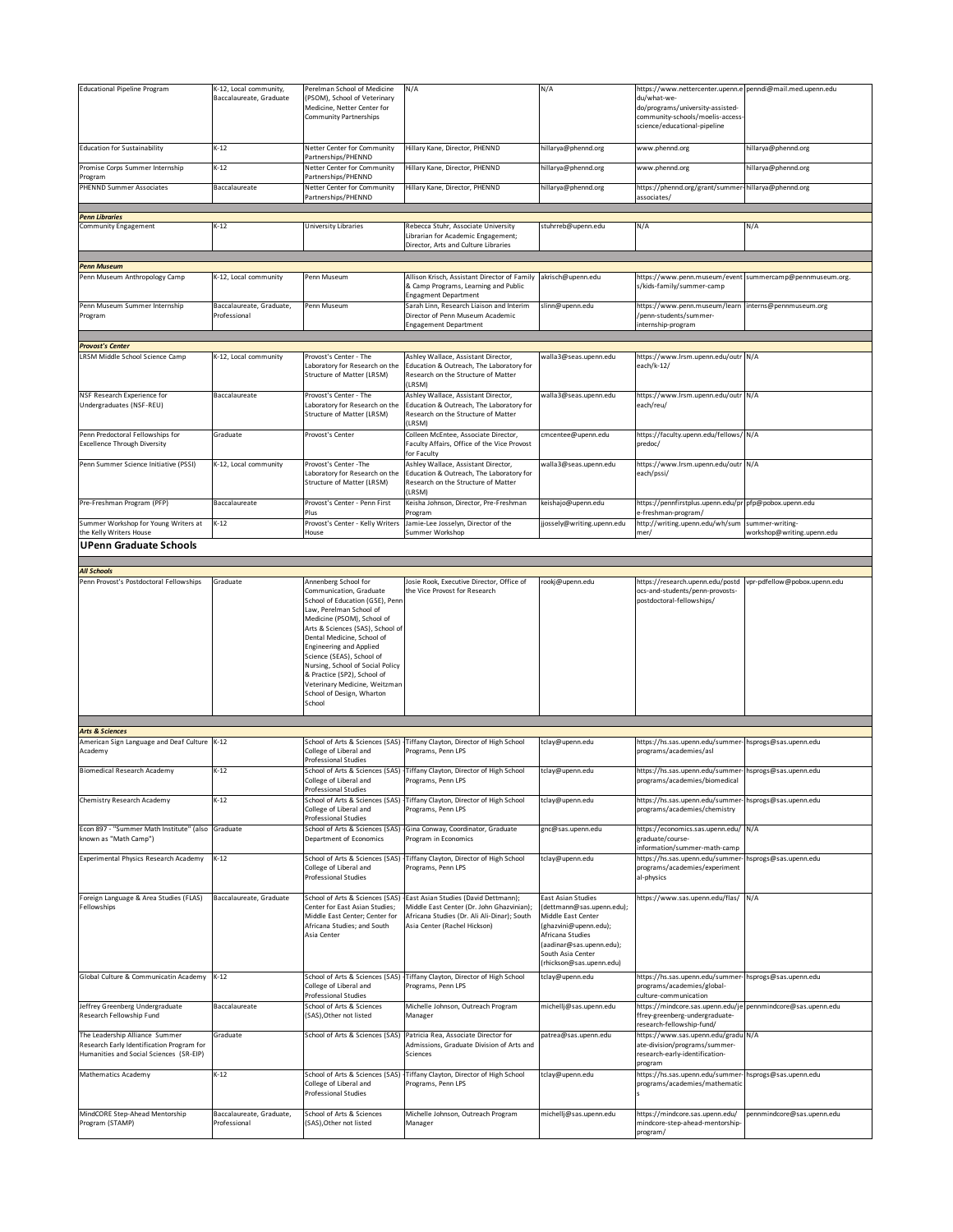| <b>Educational Pipeline Program</b>                   | <-12, Local community,                   | Perelman School of Medicine                                      | N/A                                                                                            | N/A                                             | https://www.nettercenter.upenn.e penndi@mail.med.upenn.edu         |                                                          |
|-------------------------------------------------------|------------------------------------------|------------------------------------------------------------------|------------------------------------------------------------------------------------------------|-------------------------------------------------|--------------------------------------------------------------------|----------------------------------------------------------|
|                                                       | Baccalaureate, Graduate                  | (PSOM), School of Veterinary                                     |                                                                                                |                                                 | du/what-we-                                                        |                                                          |
|                                                       |                                          | Medicine, Netter Center for                                      |                                                                                                |                                                 | do/programs/university-assisted-                                   |                                                          |
|                                                       |                                          | Community Partnerships                                           |                                                                                                |                                                 | community-schools/moelis-access-                                   |                                                          |
|                                                       |                                          |                                                                  |                                                                                                |                                                 | science/educational-pipeline                                       |                                                          |
|                                                       |                                          |                                                                  |                                                                                                |                                                 |                                                                    |                                                          |
| <b>Education for Sustainability</b>                   | $K-12$                                   | Netter Center for Community                                      | Hillary Kane, Director, PHENND                                                                 | hillarya@phennd.org                             | www.phennd.org                                                     | hillarya@phennd.org                                      |
|                                                       |                                          | Partnerships/PHENND                                              |                                                                                                |                                                 |                                                                    |                                                          |
| Promise Corps Summer Internship                       | $K-12$                                   | Netter Center for Community                                      | Hillary Kane, Director, PHENND                                                                 | hillarya@phennd.org                             | www.phennd.org                                                     | hillarya@phennd.org                                      |
| Program                                               |                                          | Partnerships/PHENND                                              |                                                                                                |                                                 |                                                                    |                                                          |
| PHENND Summer Associates                              | Baccalaureate                            | Netter Center for Community                                      | Hillary Kane, Director, PHENND                                                                 | hillarya@phennd.org                             | https://phennd.org/grant/summer-hillarya@phennd.org                |                                                          |
|                                                       |                                          | Partnerships/PHENND                                              |                                                                                                |                                                 | associates/                                                        |                                                          |
|                                                       |                                          |                                                                  |                                                                                                |                                                 |                                                                    |                                                          |
|                                                       |                                          |                                                                  |                                                                                                |                                                 |                                                                    |                                                          |
| <b>Penn Libraries</b>                                 |                                          |                                                                  |                                                                                                |                                                 |                                                                    |                                                          |
| Community Engagement                                  | $K-12$                                   | University Libraries                                             | Rebecca Stuhr, Associate University<br>Librarian for Academic Engagement;                      | stuhrreb@upenn.edu                              | N/A                                                                | N/A                                                      |
|                                                       |                                          |                                                                  | Director, Arts and Culture Libraries                                                           |                                                 |                                                                    |                                                          |
|                                                       |                                          |                                                                  |                                                                                                |                                                 |                                                                    |                                                          |
|                                                       |                                          |                                                                  |                                                                                                |                                                 |                                                                    |                                                          |
| Penn Museum                                           |                                          |                                                                  |                                                                                                |                                                 |                                                                    |                                                          |
| Penn Museum Anthropology Camp                         | K-12, Local community                    | Penn Museum                                                      | Allison Krisch, Assistant Director of Family                                                   | akrisch@upenn.edu                               |                                                                    | https://www.penn.museum/event summercamp@pennmuseum.org. |
|                                                       |                                          |                                                                  | & Camp Programs, Learning and Public                                                           |                                                 | s/kids-family/summer-camp                                          |                                                          |
|                                                       |                                          |                                                                  | <b>Engagment Department</b><br>Sarah Linn, Research Liaison and Interim                        |                                                 |                                                                    |                                                          |
| Penn Museum Summer Internship                         | Baccalaureate, Graduate,                 | Penn Museum                                                      |                                                                                                | slinn@upenn.edu                                 | https://www.penn.museum/learn interns@pennmuseum.org               |                                                          |
| Program                                               | Professional                             |                                                                  | Director of Penn Museum Academic<br><b>Engagement Department</b>                               |                                                 | /penn-students/summer-<br>internship-program                       |                                                          |
|                                                       |                                          |                                                                  |                                                                                                |                                                 |                                                                    |                                                          |
|                                                       |                                          |                                                                  |                                                                                                |                                                 |                                                                    |                                                          |
| <b>Provost's Center</b>                               |                                          |                                                                  |                                                                                                |                                                 |                                                                    |                                                          |
| LRSM Middle School Science Camp                       | K-12, Local community                    | Provost's Center - The                                           | Ashley Wallace, Assistant Director,                                                            | walla3@seas.upenn.edu                           | https://www.lrsm.upenn.edu/outr N/A                                |                                                          |
|                                                       |                                          | Laboratory for Research on the                                   | Education & Outreach, The Laboratory for                                                       |                                                 | each/k-12/                                                         |                                                          |
|                                                       |                                          | Structure of Matter (LRSM)                                       | Research on the Structure of Matter                                                            |                                                 |                                                                    |                                                          |
|                                                       |                                          |                                                                  | (LRSM)                                                                                         |                                                 |                                                                    |                                                          |
| NSF Research Experience for                           | Baccalaureate                            | Provost's Center - The                                           | Ashley Wallace, Assistant Director,                                                            | walla3@seas.upenn.edu                           | https://www.lrsm.upenn.edu/outr N/A                                |                                                          |
| Undergraduates (NSF-REU)                              |                                          | Laboratory for Research on the                                   | Education & Outreach, The Laboratory for                                                       |                                                 | each/reu/                                                          |                                                          |
|                                                       |                                          | Structure of Matter (LRSM)                                       | Research on the Structure of Matter                                                            |                                                 |                                                                    |                                                          |
|                                                       |                                          |                                                                  | (LRSM)                                                                                         |                                                 |                                                                    |                                                          |
| Penn Predoctoral Fellowships for                      | Graduate                                 | Provost's Center                                                 | Colleen McEntee, Associate Director,                                                           | cmcentee@upenn.edu                              | https://faculty.upenn.edu/fellows/ N/A                             |                                                          |
| <b>Excellence Through Diversity</b>                   |                                          |                                                                  | Faculty Affairs, Office of the Vice Provost                                                    |                                                 | predoc/                                                            |                                                          |
|                                                       |                                          |                                                                  | for Faculty                                                                                    |                                                 |                                                                    |                                                          |
| Penn Summer Science Initiative (PSSI)                 | K-12, Local community                    | Provost's Center - The                                           | Ashley Wallace, Assistant Director,                                                            | walla3@seas.upenn.edu                           | https://www.lrsm.upenn.edu/outr N/A                                |                                                          |
|                                                       |                                          | Laboratory for Research on the                                   | Education & Outreach, The Laboratory for                                                       |                                                 | each/pssi/                                                         |                                                          |
|                                                       |                                          | Structure of Matter (LRSM)                                       | Research on the Structure of Matter                                                            |                                                 |                                                                    |                                                          |
|                                                       |                                          |                                                                  | (LRSM)                                                                                         |                                                 |                                                                    |                                                          |
| Pre-Freshman Program (PFP)                            | Baccalaureate                            | Provost's Center - Penn First                                    | Keisha Johnson, Director, Pre-Freshman                                                         | keishajo@upenn.edu                              | https://pennfirstplus.upenn.edu/propfp@pobox.upenn.edu             |                                                          |
|                                                       |                                          | Plus                                                             | Program                                                                                        |                                                 | e-freshman-program/                                                |                                                          |
| Summer Workshop for Young Writers at                  | $K-12$                                   | Provost's Center - Kelly Writers                                 | Jamie-Lee Josselyn, Director of the                                                            | jossely@writing.upenn.edu                       | http://writing.upenn.edu/wh/sum                                    | summer-writing-                                          |
| the Kelly Writers House                               |                                          | House                                                            | Summer Workshop                                                                                |                                                 | mer/                                                               | workshop@writing.upenn.edu                               |
| <b>UPenn Graduate Schools</b>                         |                                          |                                                                  |                                                                                                |                                                 |                                                                    |                                                          |
|                                                       |                                          |                                                                  |                                                                                                |                                                 |                                                                    |                                                          |
|                                                       |                                          |                                                                  |                                                                                                |                                                 |                                                                    |                                                          |
| All Schools                                           |                                          |                                                                  |                                                                                                |                                                 |                                                                    |                                                          |
| Penn Provost's Postdoctoral Fellowships               | Graduate                                 | Annenberg School for                                             | Josie Rook, Executive Director, Office of                                                      | rookj@upenn.edu                                 | https://research.upenn.edu/postd                                   | vpr-pdfellow@pobox.upenn.edu                             |
|                                                       |                                          | Communication, Graduate                                          | the Vice Provost for Research                                                                  |                                                 | ocs-and-students/penn-provosts-                                    |                                                          |
|                                                       |                                          | School of Education (GSE), Penn                                  |                                                                                                |                                                 | postdoctoral-fellowships/                                          |                                                          |
|                                                       |                                          | Law, Perelman School of                                          |                                                                                                |                                                 |                                                                    |                                                          |
|                                                       |                                          |                                                                  |                                                                                                |                                                 |                                                                    |                                                          |
|                                                       |                                          | Medicine (PSOM), School of                                       |                                                                                                |                                                 |                                                                    |                                                          |
|                                                       |                                          | Arts & Sciences (SAS), School of                                 |                                                                                                |                                                 |                                                                    |                                                          |
|                                                       |                                          | Dental Medicine, School of                                       |                                                                                                |                                                 |                                                                    |                                                          |
|                                                       |                                          | <b>Engineering and Applied</b>                                   |                                                                                                |                                                 |                                                                    |                                                          |
|                                                       |                                          | Science (SEAS), School of                                        |                                                                                                |                                                 |                                                                    |                                                          |
|                                                       |                                          | Nursing, School of Social Policy                                 |                                                                                                |                                                 |                                                                    |                                                          |
|                                                       |                                          | & Practice (SP2), School of                                      |                                                                                                |                                                 |                                                                    |                                                          |
|                                                       |                                          | Veterinary Medicine, Weitzman                                    |                                                                                                |                                                 |                                                                    |                                                          |
|                                                       |                                          | School of Design, Wharton                                        |                                                                                                |                                                 |                                                                    |                                                          |
|                                                       |                                          | School                                                           |                                                                                                |                                                 |                                                                    |                                                          |
|                                                       |                                          |                                                                  |                                                                                                |                                                 |                                                                    |                                                          |
|                                                       |                                          |                                                                  |                                                                                                |                                                 |                                                                    |                                                          |
| <b>Arts &amp; Sciences</b>                            |                                          |                                                                  |                                                                                                |                                                 |                                                                    |                                                          |
| American Sign Language and Deaf Culture K-12          |                                          | School of Arts & Sciences (SAS)                                  | Tiffany Clayton, Director of High School                                                       | tclay@upenn.edu                                 | https://hs.sas.upenn.edu/summer- hsprogs@sas.upenn.edu             |                                                          |
| Academy                                               |                                          | College of Liberal and                                           | Programs, Penn LPS                                                                             |                                                 | programs/academies/asl                                             |                                                          |
|                                                       |                                          | Professional Studies                                             |                                                                                                |                                                 |                                                                    |                                                          |
| <b>Biomedical Research Academy</b>                    | $K-12$                                   |                                                                  | School of Arts & Sciences (SAS) Tiffany Clayton, Director of High School                       | tclay@upenn.edu                                 | https://hs.sas.upenn.edu/summer- hsprogs@sas.upenn.edu             |                                                          |
|                                                       |                                          | College of Liberal and                                           | rograms, Penn LPS                                                                              |                                                 | programs/academies/biomedical                                      |                                                          |
|                                                       |                                          | Professional Studies                                             |                                                                                                |                                                 |                                                                    |                                                          |
| Chemistry Research Academy                            | $K-12$                                   | School of Arts & Sciences (SAS)                                  | Tiffany Clayton, Director of High School                                                       | tclay@upenn.edu                                 | https://hs.sas.upenn.edu/summer- hsprogs@sas.upenn.edu             |                                                          |
|                                                       |                                          | College of Liberal and                                           | Programs, Penn LPS                                                                             |                                                 | programs/academies/chemistry                                       |                                                          |
|                                                       |                                          | Professional Studies                                             |                                                                                                |                                                 |                                                                    |                                                          |
| Econ 897 - "Summer Math Institute" (also Graduate     |                                          | School of Arts & Sciences (SAS)                                  | -Gina Conway, Coordinator, Graduate                                                            | gnc@sas.upenn.edu                               | https://economics.sas.upenn.edu/ N/A                               |                                                          |
| known as "Math Camp")                                 |                                          | Department of Economics                                          | Program in Economics                                                                           |                                                 | graduate/course-                                                   |                                                          |
|                                                       |                                          |                                                                  |                                                                                                |                                                 | information/summer-math-camp                                       |                                                          |
| Experimental Physics Research Academy                 | $K-12$                                   | College of Liberal and                                           | School of Arts & Sciences (SAS) Tiffany Clayton, Director of High School<br>Programs, Penn LPS | tclay@upenn.edu                                 | https://hs.sas.upenn.edu/summer-hsprogs@sas.upenn.edu              |                                                          |
|                                                       |                                          | Professional Studies                                             |                                                                                                |                                                 | programs/academies/experiment                                      |                                                          |
|                                                       |                                          |                                                                  |                                                                                                |                                                 | al-physics                                                         |                                                          |
|                                                       | Baccalaureate, Graduate                  |                                                                  |                                                                                                |                                                 |                                                                    |                                                          |
| Foreign Language & Area Studies (FLAS)<br>Fellowships |                                          | School of Arts & Sciences (SAS)                                  | East Asian Studies (David Dettmann);                                                           | East Asian Studies<br>(dettmann@sas.upenn.edu); | https://www.sas.upenn.edu/flas/ N/A                                |                                                          |
|                                                       |                                          | Center for East Asian Studies;<br>Middle East Center; Center for | Middle East Center (Dr. John Ghazvinian);<br>Africana Studies (Dr. Ali Ali-Dinar); South       | Middle East Center                              |                                                                    |                                                          |
|                                                       |                                          | Africana Studies; and South                                      | Asia Center (Rachel Hickson)                                                                   | (ghazvini@upenn.edu);                           |                                                                    |                                                          |
|                                                       |                                          | Asia Center                                                      |                                                                                                | Africana Studies                                |                                                                    |                                                          |
|                                                       |                                          |                                                                  |                                                                                                | (aadinar@sas.upenn.edu);                        |                                                                    |                                                          |
|                                                       |                                          |                                                                  |                                                                                                | South Asia Center                               |                                                                    |                                                          |
|                                                       |                                          |                                                                  |                                                                                                | (rhickson@sas.upenn.edu)                        |                                                                    |                                                          |
|                                                       |                                          |                                                                  |                                                                                                |                                                 |                                                                    |                                                          |
| Global Culture & Communicatin Academy                 | $K-12$                                   | School of Arts & Sciences (SAS)                                  | Tiffany Clayton, Director of High School                                                       | tclay@upenn.edu                                 | https://hs.sas.upenn.edu/summer-                                   | hsprogs@sas.upenn.edu                                    |
|                                                       |                                          | College of Liberal and                                           | Programs, Penn LPS                                                                             |                                                 | programs/academies/global-                                         |                                                          |
|                                                       |                                          | Professional Studies                                             |                                                                                                |                                                 | culture-communication                                              |                                                          |
| Jeffrey Greenberg Undergraduate                       | Baccalaureate                            | School of Arts & Sciences                                        | Michelle Johnson, Outreach Program                                                             | michellj@sas.upenn.edu                          | https://mindcore.sas.upenn.edu/je pennmindcore@sas.upenn.edu       |                                                          |
| Research Fellowship Fund                              |                                          | (SAS), Other not listed                                          | Manager                                                                                        |                                                 | ffrey-greenberg-undergraduate-                                     |                                                          |
|                                                       |                                          |                                                                  |                                                                                                |                                                 | research-fellowship-fund/                                          |                                                          |
| The Leadership Alliance Summer                        | Graduate                                 | School of Arts & Sciences (SAS)                                  | Patricia Rea, Associate Director for                                                           | patrea@sas.upenn.edu                            | https://www.sas.upenn.edu/gradu N/A                                |                                                          |
| Research Early Identification Program for             |                                          |                                                                  | Admissions, Graduate Division of Arts and                                                      |                                                 | ate-division/programs/summer-                                      |                                                          |
| Humanities and Social Sciences (SR-EIP)               |                                          |                                                                  | Sciences                                                                                       |                                                 | research-early-identification-                                     |                                                          |
|                                                       |                                          |                                                                  |                                                                                                |                                                 | program                                                            |                                                          |
| Mathematics Academy                                   | $K-12$                                   | School of Arts & Sciences (SAS)                                  | Tiffany Clayton, Director of High School                                                       | tclay@upenn.edu                                 | https://hs.sas.upenn.edu/summer-hsprogs@sas.upenn.edu              |                                                          |
|                                                       |                                          | College of Liberal and<br><b>Professional Studies</b>            | Programs, Penn LPS                                                                             |                                                 | programs/academies/mathematic                                      |                                                          |
|                                                       |                                          |                                                                  |                                                                                                |                                                 |                                                                    |                                                          |
|                                                       |                                          |                                                                  |                                                                                                |                                                 |                                                                    |                                                          |
| MindCORE Step-Ahead Mentorship<br>Program (STAMP)     | Baccalaureate, Graduate,<br>Professional | School of Arts & Sciences<br>(SAS), Other not listed             | Michelle Johnson, Outreach Program<br>Manager                                                  | michellj@sas.upenn.edu                          | https://mindcore.sas.upenn.edu/<br>mindcore-step-ahead-mentorship- | pennmindcore@sas.upenn.edu                               |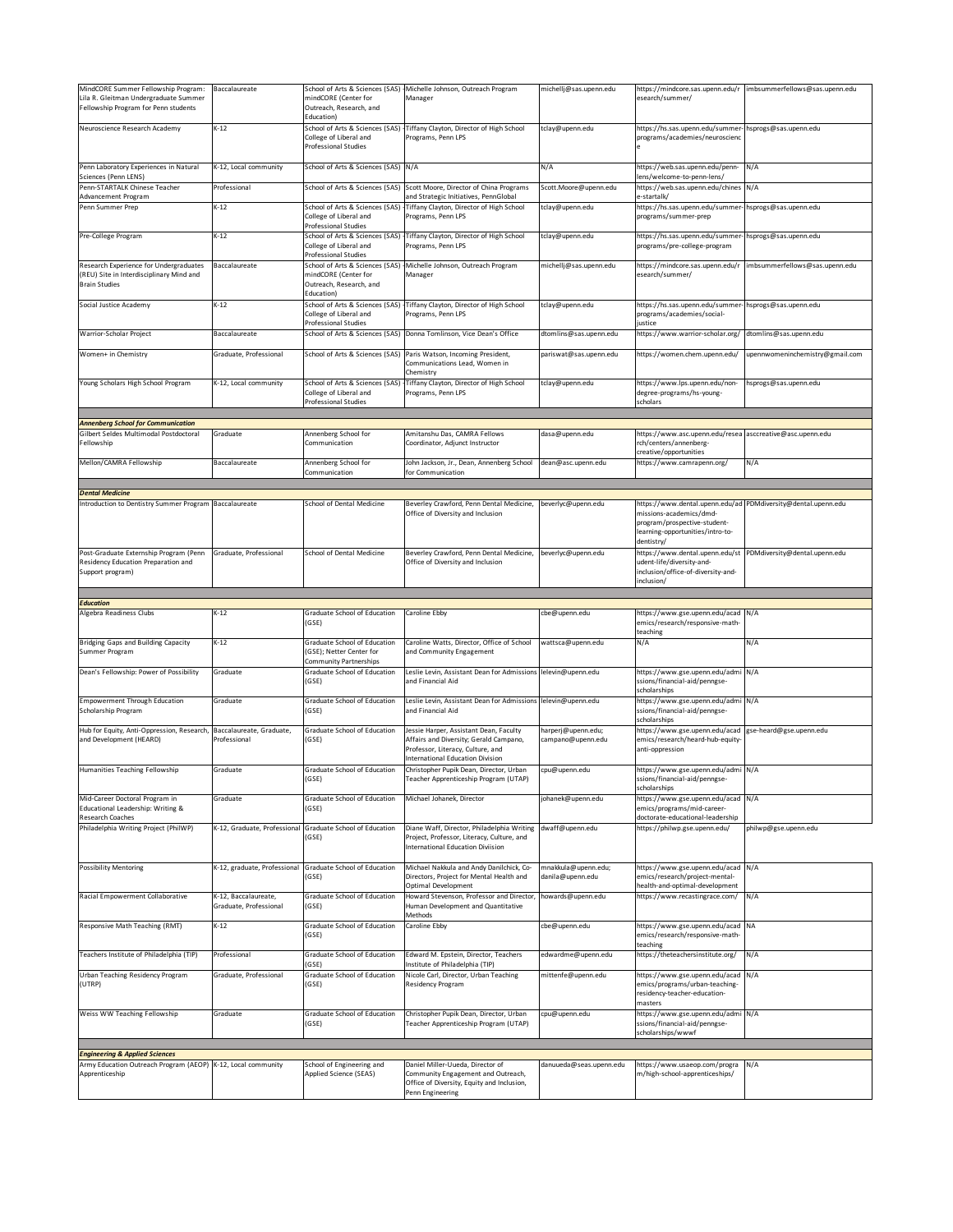| MindCORE Summer Fellowship Program:<br>ila R. Gleitman Undergraduate Summer<br>Fellowship Program for Penn students | Baccalaureate                                  | School of Arts & Sciences (SAS)<br>mindCORE (Center for<br>Outreach, Research, and               | Michelle Johnson, Outreach Program<br>Manager                                                                                                                    | michellj@sas.upenn.edu                  | https://mindcore.sas.upenn.edu/r<br>esearch/summer/                                                                                            | imbsummerfellows@sas.upenn.edu  |
|---------------------------------------------------------------------------------------------------------------------|------------------------------------------------|--------------------------------------------------------------------------------------------------|------------------------------------------------------------------------------------------------------------------------------------------------------------------|-----------------------------------------|------------------------------------------------------------------------------------------------------------------------------------------------|---------------------------------|
|                                                                                                                     |                                                | Education)                                                                                       |                                                                                                                                                                  |                                         |                                                                                                                                                |                                 |
| Neuroscience Research Academy                                                                                       | $K-12$                                         | School of Arts & Sciences (SAS)<br>College of Liberal and<br>Professional Studies                | Tiffany Clayton, Director of High School<br>Programs, Penn LPS                                                                                                   | tclay@upenn.edu                         | https://hs.sas.upenn.edu/summer-<br>programs/academies/neuroscienc                                                                             | hsprogs@sas.upenn.edu           |
| Penn Laboratory Experiences in Natural<br>Sciences (Penn LENS)                                                      | K-12, Local community                          | School of Arts & Sciences (SAS)                                                                  | N/A                                                                                                                                                              | N/A                                     | https://web.sas.upenn.edu/penn-<br>lens/welcome-to-penn-lens/                                                                                  | N/A                             |
| Penn-STARTALK Chinese Teacher<br>Advancement Program                                                                | Professional                                   | School of Arts & Sciences (SAS)                                                                  | Scott Moore, Director of China Programs<br>and Strategic Initiatives, PennGlobal                                                                                 | Scott.Moore@upenn.edu                   | https://web.sas.upenn.edu/chines N/A<br>e-startalk/                                                                                            |                                 |
| Penn Summer Prep                                                                                                    | $K-12$                                         | School of Arts & Sciences (SAS)<br>College of Liberal and<br>Professional Studies                | Tiffany Clayton, Director of High School<br>Programs, Penn LPS                                                                                                   | tclay@upenn.edu                         | https://hs.sas.upenn.edu/summer-<br>programs/summer-prep                                                                                       | hsprogs@sas.upenn.edu           |
| Pre-College Program                                                                                                 | $K-12$                                         | School of Arts & Sciences (SAS)<br>College of Liberal and<br>Professional Studies                | Tiffany Clayton, Director of High School<br>Programs, Penn LPS                                                                                                   | tclay@upenn.edu                         | https://hs.sas.upenn.edu/summer<br>programs/pre-college-program                                                                                | hsprogs@sas.upenn.edu           |
| Research Experience for Undergraduates<br>(REU) Site in Interdisciplinary Mind and<br><b>Brain Studies</b>          | Baccalaureate                                  | School of Arts & Sciences (SAS)<br>mindCORE (Center for<br>Outreach, Research, and<br>Education) | Michelle Johnson, Outreach Program<br>Manager                                                                                                                    | michellj@sas.upenn.edu                  | https://mindcore.sas.upenn.edu/r<br>esearch/summer/                                                                                            | imbsummerfellows@sas.upenn.edu  |
| Social Justice Academy                                                                                              | $K-12$                                         | School of Arts & Sciences (SAS)<br>College of Liberal and<br>Professional Studies                | Tiffany Clayton, Director of High School<br>Programs, Penn LPS                                                                                                   | tclay@upenn.edu                         | https://hs.sas.upenn.edu/summer- hsprogs@sas.upenn.edu<br>programs/academies/social-<br>iustice                                                |                                 |
| Warrior-Scholar Project                                                                                             | Baccalaureate                                  | School of Arts & Sciences (SAS)                                                                  | Donna Tomlinson, Vice Dean's Office                                                                                                                              | dtomlins@sas.upenn.edu                  | https://www.warrior-scholar.org/                                                                                                               | dtomlins@sas.upenn.edu          |
| Women+ in Chemistry                                                                                                 | Graduate, Professional                         | School of Arts & Sciences (SAS)                                                                  | Paris Watson, Incoming President,<br>Communications Lead, Women in                                                                                               | pariswat@sas.upenn.edu                  | https://women.chem.upenn.edu/                                                                                                                  | upennwomeninchemistry@gmail.com |
| Young Scholars High School Program                                                                                  | K-12, Local community                          | School of Arts & Sciences (SAS)<br>College of Liberal and                                        | Chemistry<br>Tiffany Clayton, Director of High School<br>Programs, Penn LPS                                                                                      | tclay@upenn.edu                         | https://www.lps.upenn.edu/non-<br>degree-programs/hs-young-                                                                                    | hsprogs@sas.upenn.edu           |
|                                                                                                                     |                                                | <b>Professional Studies</b>                                                                      |                                                                                                                                                                  |                                         | scholars                                                                                                                                       |                                 |
| <b>Annenberg School for Communication</b>                                                                           |                                                |                                                                                                  |                                                                                                                                                                  |                                         |                                                                                                                                                |                                 |
| Gilbert Seldes Multimodal Postdoctoral                                                                              | Graduate                                       | Annenberg School for                                                                             | Amitanshu Das, CAMRA Fellows                                                                                                                                     | dasa@upenn.edu                          | https://www.asc.upenn.edu/resea asccreative@asc.upenn.edu                                                                                      |                                 |
| ellowship                                                                                                           |                                                | Communication                                                                                    | Coordinator, Adjunct Instructor                                                                                                                                  |                                         | rch/centers/annenberg-<br>creative/opportunities                                                                                               |                                 |
| Mellon/CAMRA Fellowship                                                                                             | Baccalaureate                                  | Annenberg School for<br>Communication                                                            | John Jackson, Jr., Dean, Annenberg School<br>for Communication                                                                                                   | dean@asc.upenn.edu                      | https://www.camrapenn.org/                                                                                                                     | N/A                             |
| <b>Dental Medicine</b>                                                                                              |                                                |                                                                                                  |                                                                                                                                                                  |                                         |                                                                                                                                                |                                 |
| Introduction to Dentistry Summer Program Baccalaureate                                                              |                                                | <b>School of Dental Medicine</b>                                                                 | Beverley Crawford, Penn Dental Medicine, beverlyc@upenn.edu                                                                                                      |                                         | https://www.dental.upenn.edu/ad PDMdiversity@dental.upenn.edu                                                                                  |                                 |
|                                                                                                                     |                                                |                                                                                                  | Office of Diversity and Inclusion                                                                                                                                |                                         | missions-academics/dmd-<br>program/prospective-student-<br>learning-opportunities/intro-to-<br>dentistry/                                      |                                 |
| Post-Graduate Externship Program (Penn<br>Residency Education Preparation and<br>Support program)                   | Graduate, Professional                         | School of Dental Medicine                                                                        | Beverley Crawford, Penn Dental Medicine,<br>Office of Diversity and Inclusion                                                                                    | beverlyc@upenn.edu                      | https://www.dental.upenn.edu/st PDMdiversity@dental.upenn.edu<br>udent-life/diversity-and-<br>inclusion/office-of-diversity-and-<br>inclusion/ |                                 |
|                                                                                                                     |                                                |                                                                                                  |                                                                                                                                                                  |                                         |                                                                                                                                                |                                 |
|                                                                                                                     |                                                |                                                                                                  |                                                                                                                                                                  |                                         |                                                                                                                                                |                                 |
| Education                                                                                                           |                                                |                                                                                                  |                                                                                                                                                                  |                                         |                                                                                                                                                |                                 |
| Algebra Readiness Clubs                                                                                             | $K-12$                                         | Graduate School of Education<br>(GSE)                                                            | Caroline Ebby                                                                                                                                                    | cbe@upenn.edu                           | https://www.gse.upenn.edu/acad N/A<br>emics/research/responsive-math-<br>teaching                                                              |                                 |
| <b>Bridging Gaps and Building Capacity</b><br>Summer Program                                                        | $K-12$                                         | Graduate School of Education<br>(GSE); Netter Center for<br><b>Community Partnerships</b>        | Caroline Watts, Director, Office of School<br>and Community Engagement                                                                                           | wattsca@upenn.edu                       | N/A                                                                                                                                            | N/A                             |
| Dean's Fellowship: Power of Possibility                                                                             | Graduate                                       | Graduate School of Education<br>(GSE)                                                            | Leslie Levin, Assistant Dean for Admissions lelevin@upenn.edu<br>and Financial Aid                                                                               |                                         | https://www.gse.upenn.edu/admi N/A<br>ssions/financial-aid/penngse-<br>scholarships                                                            |                                 |
| <b>Empowerment Through Education</b><br>Scholarship Program                                                         | Graduate                                       | Graduate School of Education<br>(GSE)                                                            | Leslie Levin, Assistant Dean for Admissions lelevin@upenn.edu<br>and Financial Aid                                                                               |                                         | https://www.gse.upenn.edu/admi N/A<br>ssions/financial-aid/penngse-<br>scholarships                                                            |                                 |
| Hub for Equity, Anti-Oppression, Research<br>and Development (HEARD)                                                | Baccalaureate, Graduate,<br>Professional       | Graduate School of Education<br>(GSE)                                                            | Jessie Harper, Assistant Dean, Faculty<br>Affairs and Diversity; Gerald Campano,<br>Professor, Literacy, Culture, and<br><b>International Education Division</b> | harperj@upenn.edu;<br>campano@upenn.edu | https://www.gse.upenn.edu/acad gse-heard@gse.upenn.edu<br>emics/research/heard-hub-equity<br>anti-oppression                                   |                                 |
| Humanities Teaching Fellowship                                                                                      | Graduate                                       | Graduate School of Education<br>GSE)                                                             | Christopher Pupik Dean, Director, Urban<br>eacher Apprenticeship Program (UTAP)                                                                                  | cpu@upenn.edu                           | https://www.gse.upenn.edu/admi N/A<br>sions/financial-aid/penngse<br>scholarships                                                              |                                 |
| Mid-Career Doctoral Program in<br>Educational Leadership: Writing &<br>Research Coaches                             | Graduate                                       | Graduate School of Education<br>(GSE)                                                            | Michael Johanek, Director                                                                                                                                        | johanek@upenn.edu                       | https://www.gse.upenn.edu/acad N/A<br>emics/programs/mid-career-                                                                               |                                 |
| Philadelphia Writing Project (PhilWP)                                                                               | K-12, Graduate, Professional                   | Graduate School of Education<br>(GSE)                                                            | Diane Waff, Director, Philadelphia Writing<br>Project, Professor, Literacy, Culture, and<br><b>International Education Diviision</b>                             | dwaff@upenn.edu                         | doctorate-educational-leadership<br>https://philwp.gse.upenn.edu/                                                                              | philwp@gse.upenn.edu            |
| <b>Possibility Mentoring</b>                                                                                        | K-12, graduate, Professional                   | Graduate School of Education<br>(GSE)                                                            | Michael Nakkula and Andy Danilchick, Co-<br>Directors, Project for Mental Health and<br>Optimal Development                                                      | mnakkula@upenn.edu;<br>danila@upenn.edu | https://www.gse.upenn.edu/acad N/A<br>emics/research/project-mental-                                                                           |                                 |
| Racial Empowerment Collaborative                                                                                    | K-12, Baccalaureate,<br>Graduate, Professional | Graduate School of Education<br>(GSE)                                                            | Howard Stevenson, Professor and Director<br>Human Development and Quantitative<br>Methods                                                                        | howards@upenn.edu                       | health-and-optimal-development<br>https://www.recastingrace.com/                                                                               | N/A                             |
| Responsive Math Teaching (RMT)                                                                                      | $K-12$                                         | Graduate School of Education<br>(GSE)                                                            | Caroline Ebby                                                                                                                                                    | cbe@upenn.edu                           | https://www.gse.upenn.edu/acad NA<br>emics/research/responsive-math                                                                            |                                 |
| Teachers Institute of Philadelphia (TIP)                                                                            | Professional                                   | Graduate School of Education                                                                     | Edward M. Epstein, Director, Teachers                                                                                                                            | edwardme@upenn.edu                      | teaching<br>https://theteachersinstitute.org/                                                                                                  | N/A                             |
| Urban Teaching Residency Program<br>(UTRP)                                                                          | Graduate, Professional                         | (GSE)<br>Graduate School of Education<br>(GSE)                                                   | Institute of Philadelphia (TIP)<br>Nicole Carl, Director, Urban Teaching<br>Residency Program                                                                    | mittenfe@upenn.edu                      | https://www.gse.upenn.edu/acad N/A<br>emics/programs/urban-teaching-<br>residency-teacher-education-<br>masters                                |                                 |
| Weiss WW Teaching Fellowship                                                                                        | Graduate                                       | Graduate School of Education<br>(GSE)                                                            | Christopher Pupik Dean, Director, Urban<br>Teacher Apprenticeship Program (UTAP)                                                                                 | cpu@upenn.edu                           | https://www.gse.upenn.edu/admi<br>ssions/financial-aid/penngse-<br>scholarships/wwwf                                                           | N/A                             |
|                                                                                                                     |                                                |                                                                                                  |                                                                                                                                                                  |                                         |                                                                                                                                                |                                 |
| <b>Engineering &amp; Applied Sciences</b><br>Army Education Outreach Program (AEOP) K-12, Local community           |                                                | School of Engineering and                                                                        | Daniel Miller-Uueda, Director of                                                                                                                                 | danuueda@seas.upenn.edu                 | https://www.usaeop.com/progra                                                                                                                  | N/A                             |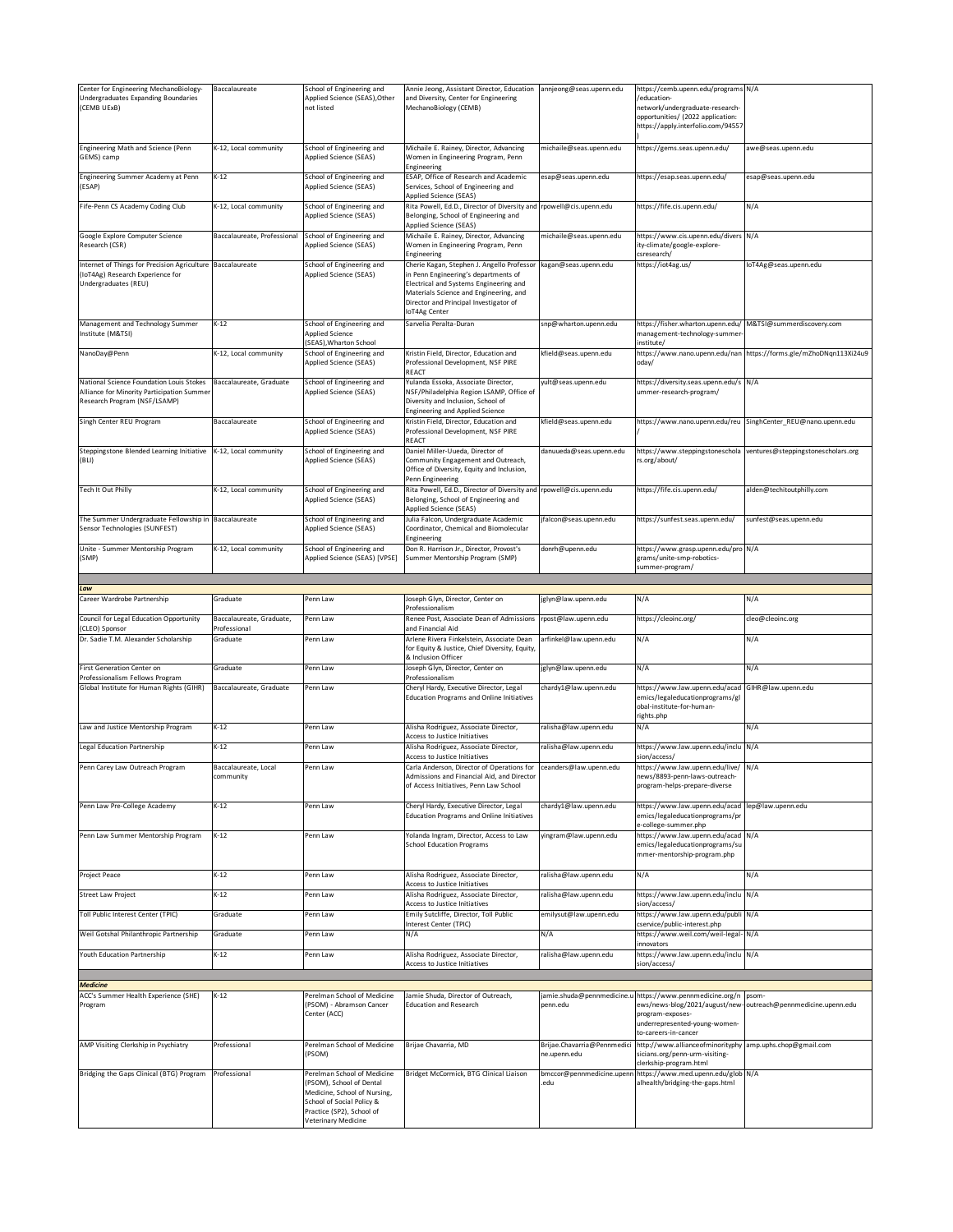| Center for Engineering MechanoBiology-<br>Undergraduates Expanding Boundaries                                          | Baccalaureate                            | School of Engineering and<br>Applied Science (SEAS), Other                                                                                                               | Annie Jeong, Assistant Director, Education annieong@seas.upenn.edu<br>and Diversity, Center for Engineering                                                                                                                       |                                             | https://cemb.upenn.edu/programs N/A<br>/education-                                                                              |                                                                    |
|------------------------------------------------------------------------------------------------------------------------|------------------------------------------|--------------------------------------------------------------------------------------------------------------------------------------------------------------------------|-----------------------------------------------------------------------------------------------------------------------------------------------------------------------------------------------------------------------------------|---------------------------------------------|---------------------------------------------------------------------------------------------------------------------------------|--------------------------------------------------------------------|
| (CEMB UExB)                                                                                                            |                                          | not listed                                                                                                                                                               | MechanoBiology (CEMB)                                                                                                                                                                                                             |                                             | network/undergraduate-research-<br>opportunities/ (2022 application:<br>https://apply.interfolio.com/94557                      |                                                                    |
| Engineering Math and Science (Penn<br>GEMS) camp                                                                       | K-12, Local community                    | School of Engineering and<br>Applied Science (SEAS)                                                                                                                      | Michaile E. Rainey, Director, Advancing<br>Women in Engineering Program, Penn<br>Engineering                                                                                                                                      | michaile@seas.upenn.edu                     | https://gems.seas.upenn.edu/                                                                                                    | awe@seas.upenn.edu                                                 |
| Engineering Summer Academy at Penn<br>(ESAP)                                                                           | $K-12$                                   | School of Engineering and<br>Applied Science (SEAS)                                                                                                                      | ESAP, Office of Research and Academic<br>Services, School of Engineering and<br>Applied Science (SEAS)                                                                                                                            | esap@seas.upenn.edu                         | https://esap.seas.upenn.edu/                                                                                                    | esap@seas.upenn.edu                                                |
| Fife-Penn CS Academy Coding Club                                                                                       | K-12, Local community                    | School of Engineering and<br>Applied Science (SEAS)                                                                                                                      | Rita Powell, Ed.D., Director of Diversity and rpowell@cis.upenn.edu<br>Belonging, School of Engineering and<br>Applied Science (SEAS)                                                                                             |                                             | https://fife.cis.upenn.edu/                                                                                                     | N/A                                                                |
| Google Explore Computer Science<br>Research (CSR)                                                                      | Baccalaureate, Professional              | School of Engineering and<br>Applied Science (SEAS)                                                                                                                      | Michaile E. Rainey, Director, Advancing<br>Women in Engineering Program, Penn<br>Engineering                                                                                                                                      | michaile@seas.upenn.edu                     | https://www.cis.upenn.edu/divers N/A<br>ity-climate/google-explore-<br>csresearch/                                              |                                                                    |
| Internet of Things for Precision Agriculture<br>(IoT4Ag) Research Experience for<br>Undergraduates (REU)               | Baccalaureate                            | School of Engineering and<br>Applied Science (SEAS)                                                                                                                      | Cherie Kagan, Stephen J. Angello Professor<br>in Penn Engineering's departments of<br>Electrical and Systems Engineering and<br>Materials Science and Engineering, and<br>Director and Principal Investigator of<br>IoT4Ag Center | kagan@seas.upenn.edu                        | https://iot4ag.us/                                                                                                              | IoT4Ag@seas.upenn.edu                                              |
| Management and Technology Summer<br>Institute (M&TSI)                                                                  | $K-12$                                   | School of Engineering and<br><b>Applied Science</b><br>(SEAS), Wharton School                                                                                            | Sarvelia Peralta-Duran                                                                                                                                                                                                            | snp@wharton.upenn.edu                       | https://fisher.wharton.upenn.edu/ M&TSI@summerdiscovery.com<br>management-technology-summer<br>nstitute/                        |                                                                    |
| NanoDay@Penn                                                                                                           | K-12, Local community                    | School of Engineering and<br>Applied Science (SEAS)                                                                                                                      | Kristin Field, Director, Education and<br>Professional Development, NSF PIRE<br>REACT                                                                                                                                             | kfield@seas.upenn.edu                       | oday/                                                                                                                           | https://www.nano.upenn.edu/nan_https://forms.gle/mZhoDNqn113Xi24u9 |
| National Science Foundation Louis Stokes<br>Alliance for Minority Participation Summer<br>Research Program (NSF/LSAMP) | Baccalaureate, Graduate                  | School of Engineering and<br>Applied Science (SEAS)                                                                                                                      | Yulanda Essoka, Associate Director,<br>NSF/Philadelphia Region LSAMP, Office of<br>Diversity and Inclusion, School of<br><b>Engineering and Applied Science</b>                                                                   | yult@seas.upenn.edu                         | https://diversity.seas.upenn.edu/s N/A<br>ummer-research-program/                                                               |                                                                    |
| Singh Center REU Program                                                                                               | Baccalaureate                            | School of Engineering and<br>Applied Science (SEAS)                                                                                                                      | Kristin Field, Director, Education and<br>Professional Development, NSF PIRE<br>REACT                                                                                                                                             | kfield@seas.upenn.edu                       |                                                                                                                                 | https://www.nano.upenn.edu/reu SinghCenter REU@nano.upenn.edu      |
| Steppingstone Blended Learning Initiative<br>(BLI)                                                                     | K-12, Local community                    | School of Engineering and<br>Applied Science (SEAS)                                                                                                                      | Daniel Miller-Uueda, Director of<br>Community Engagement and Outreach,<br>Office of Diversity, Equity and Inclusion,<br>Penn Engineering                                                                                          | danuueda@seas.upenn.edu                     | https://www.steppingstoneschola<br>s.org/about/                                                                                 | ventures@steppingstonescholars.org                                 |
| Tech It Out Philly                                                                                                     | K-12, Local community                    | School of Engineering and<br>Applied Science (SEAS)                                                                                                                      | Rita Powell, Ed.D., Director of Diversity and rpowell@cis.upenn.edu<br>Belonging, School of Engineering and<br>Applied Science (SEAS)                                                                                             |                                             | https://fife.cis.upenn.edu/                                                                                                     | alden@techitoutphilly.com                                          |
| The Summer Undergraduate Fellowship in Baccalaureate<br>Sensor Technologies (SUNFEST)                                  |                                          | School of Engineering and<br>Applied Science (SEAS)                                                                                                                      | Julia Falcon, Undergraduate Academic<br>Coordinator, Chemical and Biomolecular<br>Engineering                                                                                                                                     | jfalcon@seas.upenn.edu                      | https://sunfest.seas.upenn.edu/                                                                                                 | sunfest@seas.upenn.edu                                             |
| Unite - Summer Mentorship Program<br>(SMP)                                                                             | K-12, Local community                    | School of Engineering and<br>Applied Science (SEAS) [VPSE]                                                                                                               | Don R. Harrison Jr., Director, Provost's<br>Summer Mentorship Program (SMP)                                                                                                                                                       | donrh@upenn.edu                             | https://www.grasp.upenn.edu/pro N/A<br>grams/unite-smp-robotics-<br>summer-program/                                             |                                                                    |
|                                                                                                                        |                                          |                                                                                                                                                                          |                                                                                                                                                                                                                                   |                                             |                                                                                                                                 |                                                                    |
| Law<br>Career Wardrobe Partnership                                                                                     | Graduate                                 | Penn Law                                                                                                                                                                 | Joseph Glyn, Director, Center on                                                                                                                                                                                                  | jglyn@law.upenn.edu                         | N/A                                                                                                                             | N/A                                                                |
|                                                                                                                        |                                          |                                                                                                                                                                          | Professionalism                                                                                                                                                                                                                   |                                             |                                                                                                                                 |                                                                    |
| Council for Legal Education Opportunity<br>(CLEO) Sponsor                                                              | Baccalaureate, Graduate,<br>Professional | Penn Law                                                                                                                                                                 | Renee Post, Associate Dean of Admissions<br>and Financial Aid                                                                                                                                                                     | rpost@law.upenn.edu                         | https://cleoinc.org/                                                                                                            | cleo@cleoinc.org                                                   |
| Dr. Sadie T.M. Alexander Scholarship                                                                                   | Graduate                                 | Penn Law                                                                                                                                                                 | Arlene Rivera Finkelstein, Associate Dean<br>for Equity & Justice, Chief Diversity, Equity,<br>& Inclusion Officer                                                                                                                | arfinkel@law.upenn.edu                      | N/A                                                                                                                             | N/A                                                                |
| First Generation Center on<br>Professionalism Fellows Program                                                          | Graduate                                 | Penn Law                                                                                                                                                                 | Joseph Glyn, Director, Center on<br>Professionalism                                                                                                                                                                               | jglyn@law.upenn.edu                         | N/A                                                                                                                             | N/A                                                                |
| Global Institute for Human Rights (GIHR)                                                                               | Baccalaureate, Graduate                  | Penn Law                                                                                                                                                                 | Cheryl Hardy, Executive Director, Legal<br><b>Education Programs and Online Initiatives</b>                                                                                                                                       | chardy1@law.upenn.edu                       | https://www.law.upenn.edu/acad GIHR@law.upenn.edu<br>emics/legaleducationprograms/gl<br>obal-institute-for-human-<br>rights.php |                                                                    |
| Law and Justice Mentorship Program                                                                                     | $K-12$                                   | Penn Law                                                                                                                                                                 | Alisha Rodriguez, Associate Director,<br>Access to Justice Initiatives                                                                                                                                                            | ralisha@law.upenn.edu                       | N/A                                                                                                                             | N/A                                                                |
| Legal Education Partnership                                                                                            | K-12                                     | Penn Law                                                                                                                                                                 | Alisha Rodriguez, Associate Director,<br>Access to Justice Initiatives                                                                                                                                                            | ralisha@law.upenn.edu                       | https://www.law.upenn.edu/inclu N/A<br>sion/access/                                                                             |                                                                    |
| Penn Carey Law Outreach Program                                                                                        | Baccalaureate, Local<br>community        | Penn Law                                                                                                                                                                 | Carla Anderson, Director of Operations for<br>Admissions and Financial Aid, and Director<br>of Access Initiatives, Penn Law School                                                                                                | ceanders@law.upenn.edu                      | https://www.law.upenn.edu/live/ N/A<br>news/8893-penn-laws-outreach-<br>program-helps-prepare-diverse                           |                                                                    |
| Penn Law Pre-College Academy                                                                                           | $K-12$                                   | Penn Law                                                                                                                                                                 | Cheryl Hardy, Executive Director, Legal<br><b>Education Programs and Online Initiatives</b>                                                                                                                                       | chardy1@law.upenn.edu                       | https://www.law.upenn.edu/acad<br>emics/legaleducationprograms/pr                                                               | lep@law.upenn.edu                                                  |
| Penn Law Summer Mentorship Program                                                                                     | $K-12$                                   | Penn Law                                                                                                                                                                 | Yolanda Ingram, Director, Access to Law<br><b>School Education Programs</b>                                                                                                                                                       | yingram@law.upenn.edu                       | e-college-summer.php<br>https://www.law.upenn.edu/acad N/A<br>emics/legaleducationprograms/su                                   |                                                                    |
| Project Peace                                                                                                          | $K-12$                                   | Penn Law                                                                                                                                                                 | Alisha Rodriguez, Associate Director,                                                                                                                                                                                             | ralisha@law.upenn.edu                       | mmer-mentorship-program.php<br>N/A                                                                                              | N/A                                                                |
|                                                                                                                        |                                          |                                                                                                                                                                          | Access to Justice Initiatives                                                                                                                                                                                                     |                                             |                                                                                                                                 |                                                                    |
| <b>Street Law Project</b>                                                                                              | $K-12$                                   | Penn Law                                                                                                                                                                 | Alisha Rodriguez, Associate Director,<br><b>Access to Justice Initiatives</b>                                                                                                                                                     | ralisha@law.upenn.edu                       | https://www.law.upenn.edu/inclu N/A<br>ion/access/                                                                              |                                                                    |
| Toll Public Interest Center (TPIC)                                                                                     | Graduate                                 | Penn Law                                                                                                                                                                 | Emily Sutcliffe, Director, Toll Public<br>Interest Center (TPIC)                                                                                                                                                                  | emilysut@law.upenn.edu                      | https://www.law.upenn.edu/publi N/A<br>cservice/public-interest.php                                                             |                                                                    |
| Weil Gotshal Philanthropic Partnership                                                                                 | Graduate                                 | Penn Law                                                                                                                                                                 | N/A                                                                                                                                                                                                                               | N/A                                         | https://www.weil.com/weil-legal- N/A<br>nnovators                                                                               |                                                                    |
| Youth Education Partnership                                                                                            | $K-12$                                   | Penn Law                                                                                                                                                                 | Alisha Rodriguez, Associate Director,<br>Access to Justice Initiatives                                                                                                                                                            | ralisha@law.upenn.edu                       | https://www.law.upenn.edu/inclu N/A<br>sion/access/                                                                             |                                                                    |
|                                                                                                                        |                                          |                                                                                                                                                                          |                                                                                                                                                                                                                                   |                                             |                                                                                                                                 |                                                                    |
| <b>Medicine</b><br>ACC's Summer Health Experience (SHE)                                                                | $K-12$                                   | Perelman School of Medicine                                                                                                                                              | Jamie Shuda, Director of Outreach,                                                                                                                                                                                                | jamie.shuda@pennmedicine.u                  | https://www.pennmedicine.org/n psom-                                                                                            |                                                                    |
| Program                                                                                                                |                                          | (PSOM) - Abramson Cancer<br>Center (ACC)                                                                                                                                 | <b>Education and Research</b>                                                                                                                                                                                                     | penn.edu                                    | program-exposes-<br>underrepresented-young-women-<br>to-careers-in-cancer                                                       | ews/news-blog/2021/august/new-outreach@pennmedicine.upenn.edu      |
| AMP Visiting Clerkship in Psychiatry                                                                                   | Professional                             | Perelman School of Medicine<br>(PSOM)                                                                                                                                    | Brijae Chavarria, MD                                                                                                                                                                                                              | Brijae.Chavarria@Pennmedici<br>ne.upenn.edu | http://www.allianceofminorityphy amp.uphs.chop@gmail.com<br>sicians.org/penn-urm-visiting-<br>clerkship-program.html            |                                                                    |
| Bridging the Gaps Clinical (BTG) Program                                                                               | Professional                             | Perelman School of Medicine<br>(PSOM), School of Dental<br>Medicine, School of Nursing,<br>School of Social Policy &<br>Practice (SP2), School of<br>Veterinary Medicine | Bridget McCormick, BTG Clinical Liaison                                                                                                                                                                                           | bmccor@pennmedicine.upenr<br>.edu           | https://www.med.upenn.edu/glob N/A<br>alhealth/bridging-the-gaps.html                                                           |                                                                    |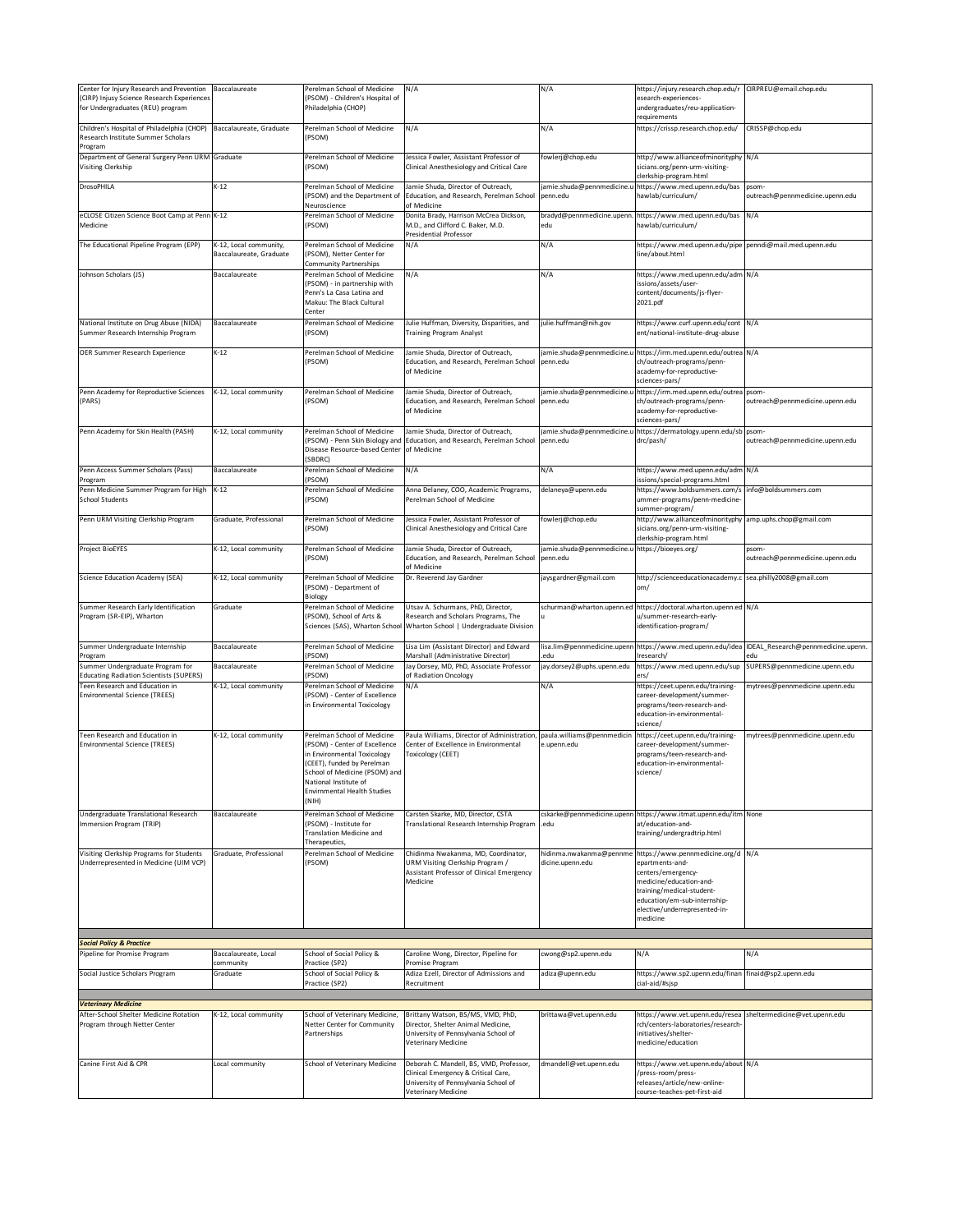| Center for Injury Research and Prevention<br>(CIRP) Injusy Science Research Experiences | Baccalaureate                                     | Perelman School of Medicine<br>(PSOM) - Children's Hospital of                                                                                                                                                                     | N/A                                                                                                                                           | N/A                                         | https://injury.research.chop.edu/r CIRPREU@email.chop.edu<br>esearch-experiences-                                                                                                                                |                                                                   |
|-----------------------------------------------------------------------------------------|---------------------------------------------------|------------------------------------------------------------------------------------------------------------------------------------------------------------------------------------------------------------------------------------|-----------------------------------------------------------------------------------------------------------------------------------------------|---------------------------------------------|------------------------------------------------------------------------------------------------------------------------------------------------------------------------------------------------------------------|-------------------------------------------------------------------|
| for Undergraduates (REU) program                                                        |                                                   | Philadelphia (CHOP)                                                                                                                                                                                                                |                                                                                                                                               |                                             | undergraduates/reu-application-                                                                                                                                                                                  |                                                                   |
| Children's Hospital of Philadelphia (CHOP)                                              | Baccalaureate, Graduate                           | Perelman School of Medicine                                                                                                                                                                                                        | N/A                                                                                                                                           | N/A                                         | equirements<br>https://crissp.research.chop.edu/                                                                                                                                                                 | CRISSP@chop.edu                                                   |
| Research Institute Summer Scholars                                                      |                                                   | (PSOM)                                                                                                                                                                                                                             |                                                                                                                                               |                                             |                                                                                                                                                                                                                  |                                                                   |
| Program<br>Department of General Surgery Penn URM Graduate                              |                                                   | Perelman School of Medicine                                                                                                                                                                                                        | Jessica Fowler, Assistant Professor of                                                                                                        | fowlerj@chop.edu                            | http://www.allianceofminorityphy N/A                                                                                                                                                                             |                                                                   |
| Visiting Clerkship                                                                      |                                                   | PSOM)                                                                                                                                                                                                                              | Clinical Anesthesiology and Critical Care                                                                                                     |                                             | sicians.org/penn-urm-visiting-<br>clerkship-program.html                                                                                                                                                         |                                                                   |
| <b>DrosoPHILA</b>                                                                       | $K-12$                                            | Perelman School of Medicine<br>PSOM) and the Department of<br>Neuroscience                                                                                                                                                         | Jamie Shuda, Director of Outreach,<br>Education, and Research, Perelman School<br>of Medicine                                                 | jamie.shuda@pennmedicine.u<br>penn.edu      | https://www.med.upenn.edu/bas<br>hawlab/curriculum/                                                                                                                                                              | psom-<br>outreach@pennmedicine.upenn.edu                          |
| eCLOSE Citizen Science Boot Camp at Penn K-12                                           |                                                   | Perelman School of Medicine                                                                                                                                                                                                        | Donita Brady, Harrison McCrea Dickson,                                                                                                        | bradyd@pennmedicine.upenn.                  | https://www.med.upenn.edu/bas N/A                                                                                                                                                                                |                                                                   |
| Medicine                                                                                |                                                   | (PSOM)                                                                                                                                                                                                                             | M.D., and Clifford C. Baker, M.D.<br>Presidential Professor                                                                                   | edu                                         | hawlab/curriculum/                                                                                                                                                                                               |                                                                   |
| The Educational Pipeline Program (EPP)                                                  | K-12, Local community,<br>Baccalaureate, Graduate | Perelman School of Medicine<br>(PSOM), Netter Center for<br>Community Partnerships                                                                                                                                                 | N/A                                                                                                                                           | N/A                                         | https://www.med.upenn.edu/pipe penndi@mail.med.upenn.edu<br>line/about.html                                                                                                                                      |                                                                   |
| Johnson Scholars (JS)                                                                   | Baccalaureate                                     | Perelman School of Medicine                                                                                                                                                                                                        | N/A                                                                                                                                           | N/A                                         | https://www.med.upenn.edu/adm N/A                                                                                                                                                                                |                                                                   |
|                                                                                         |                                                   | (PSOM) - in partnership with<br>Penn's La Casa Latina and<br>Makuu: The Black Cultural<br>Center                                                                                                                                   |                                                                                                                                               |                                             | issions/assets/user-<br>content/documents/js-flyer-<br>2021.pdf                                                                                                                                                  |                                                                   |
| National Institute on Drug Abuse (NIDA)<br>Summer Research Internship Program           | Baccalaureate                                     | Perelman School of Medicine<br>(PSOM)                                                                                                                                                                                              | Julie Huffman, Diversity, Disparities, and<br><b>Training Program Analyst</b>                                                                 | julie.huffman@nih.gov                       | https://www.curf.upenn.edu/cont N/A<br>ent/national-institute-drug-abuse                                                                                                                                         |                                                                   |
| OER Summer Research Experience                                                          | $K-12$                                            | Perelman School of Medicine<br>(PSOM)                                                                                                                                                                                              | Jamie Shuda, Director of Outreach,<br>Education, and Research, Perelman School<br>of Medicine                                                 | jamie.shuda@pennmedicine.u<br>penn.edu      | https://irm.med.upenn.edu/outrea N/A<br>ch/outreach-programs/penn-<br>academy-for-reproductive-                                                                                                                  |                                                                   |
|                                                                                         |                                                   |                                                                                                                                                                                                                                    |                                                                                                                                               |                                             | sciences-pars/                                                                                                                                                                                                   |                                                                   |
| Penn Academy for Reproductive Sciences<br>(PARS)                                        | K-12, Local community                             | Perelman School of Medicine<br>(PSOM)                                                                                                                                                                                              | Jamie Shuda, Director of Outreach,<br>Education, and Research, Perelman School<br>of Medicine                                                 | jamie.shuda@pennmedicine.u<br>penn.edu      | https://irm.med.upenn.edu/outrea_psom-<br>ch/outreach-programs/penn-<br>academy-for-reproductive-<br>sciences-pars/                                                                                              | outreach@pennmedicine.upenn.edu                                   |
| Penn Academy for Skin Health (PASH)                                                     | K-12, Local community                             | Perelman School of Medicine<br>(PSOM) - Penn Skin Biology and                                                                                                                                                                      | Jamie Shuda, Director of Outreach,<br>Education, and Research, Perelman School                                                                | jamie.shuda@pennmedicine.u<br>penn.edu      | https://dermatology.upenn.edu/sb psom-                                                                                                                                                                           | outreach@pennmedicine.upenn.edu                                   |
|                                                                                         |                                                   | Disease Resource-based Center<br>(SBDRC)                                                                                                                                                                                           | of Medicine                                                                                                                                   |                                             | drc/pash/                                                                                                                                                                                                        |                                                                   |
| Penn Access Summer Scholars (Pass)<br>Program                                           | Baccalaureate                                     | Perelman School of Medicine<br>(PSOM)                                                                                                                                                                                              | N/A                                                                                                                                           | N/A                                         | https://www.med.upenn.edu/adm N/A<br>issions/special-programs.html                                                                                                                                               |                                                                   |
| Penn Medicine Summer Program for High                                                   | $K-12$                                            | Perelman School of Medicine                                                                                                                                                                                                        | Anna Delaney, COO, Academic Programs,                                                                                                         | delaneya@upenn.edu                          | https://www.boldsummers.com/s info@boldsummers.com                                                                                                                                                               |                                                                   |
| <b>School Students</b>                                                                  |                                                   | (PSOM)                                                                                                                                                                                                                             | Perelman School of Medicine                                                                                                                   |                                             | ummer-programs/penn-medicine<br>summer-program/                                                                                                                                                                  |                                                                   |
| Penn URM Visiting Clerkship Program                                                     | Graduate, Professional                            | Perelman School of Medicine<br>(PSOM)                                                                                                                                                                                              | Jessica Fowler, Assistant Professor of<br>Clinical Anesthesiology and Critical Care                                                           | fowlerj@chop.edu                            | http://www.allianceofminorityphy<br>sicians.org/penn-urm-visiting-<br>clerkship-program.html                                                                                                                     | amp.uphs.chop@gmail.com                                           |
| Project BioEYES                                                                         | K-12, Local community                             | Perelman School of Medicine<br>(PSOM)                                                                                                                                                                                              | Jamie Shuda, Director of Outreach,<br>Education, and Research, Perelman School<br>of Medicine                                                 | jamie.shuda@pennmedicine.u<br>penn.edu      | https://bioeyes.org/                                                                                                                                                                                             | psom-<br>outreach@pennmedicine.upenn.edu                          |
| Science Education Academy (SEA)                                                         | K-12, Local community                             | Perelman School of Medicine                                                                                                                                                                                                        | Dr. Reverend Jay Gardner                                                                                                                      | jaysgardner@gmail.com                       | http://scienceeducationacademy.c sea.philly2008@gmail.com                                                                                                                                                        |                                                                   |
|                                                                                         |                                                   | (PSOM) - Department of<br>Biology                                                                                                                                                                                                  |                                                                                                                                               |                                             | om/                                                                                                                                                                                                              |                                                                   |
| Summer Research Early Identification<br>Program (SR-EIP), Wharton                       | Graduate                                          | Perelman School of Medicine<br>(PSOM), School of Arts &<br>Sciences (SAS), Wharton Schoo                                                                                                                                           | Utsav A. Schurmans, PhD, Director,<br>Research and Scholars Programs, The<br>Wharton School   Undergraduate Division                          | schurman@wharton.upenn.ed                   | https://doctoral.wharton.upenn.ed N/A<br>u/summer-research-early-<br>identification-program/                                                                                                                     |                                                                   |
| Summer Undergraduate Internship                                                         | Baccalaureate                                     | Perelman School of Medicine                                                                                                                                                                                                        | Lisa Lim (Assistant Director) and Edward                                                                                                      | lisa.lim@pennmedicine.upenr                 |                                                                                                                                                                                                                  | https://www.med.upenn.edu/idea IDEAL_Research@pennmedicine.upenn. |
| Program<br>Summer Undergraduate Program for                                             | Baccalaureate                                     | (PSOM)<br>Perelman School of Medicine                                                                                                                                                                                              | Marshall (Administrative Director)<br>Jay Dorsey, MD, PhD, Associate Professor                                                                | .edu<br>jay.dorsey2@uphs.upenn.edu          | Iresearch/<br>https://www.med.upenn.edu/sup                                                                                                                                                                      | edu<br>SUPERS@pennmedicine.upenn.edu                              |
| <b>Educating Radiation Scientists (SUPERS)</b>                                          |                                                   | (PSOM)                                                                                                                                                                                                                             | of Radiation Oncology                                                                                                                         |                                             | ers/                                                                                                                                                                                                             |                                                                   |
| Teen Research and Education in<br>Environmental Science (TREES)                         | K-12, Local community                             | Perelman School of Medicine<br>PSOM) - Center of Excellence<br>in Environmental Toxicology                                                                                                                                         | ۷/A                                                                                                                                           | N/A                                         | https://ceet.upenn.edu/training-<br>career-development/summer-<br>programs/teen-research-and-<br>education-in-environmental-<br>science/                                                                         | mytrees@pennmedicine.upenn.edu                                    |
| Teen Research and Education in<br><b>Environmental Science (TREES)</b>                  | K-12, Local community                             | Perelman School of Medicine<br>(PSOM) - Center of Excellence<br>in Environmental Toxicology<br>(CEET), funded by Perelman<br>School of Medicine (PSOM) and<br>National Institute of<br><b>Envirnmental Health Studies</b><br>(NIH) | Paula Williams, Director of Administration, paula.williams@pennmedicin<br>Center of Excellence in Environmental<br>Toxicology (CEET)          | e.upenn.edu                                 | https://ceet.upenn.edu/training-<br>career-development/summer-<br>programs/teen-research-and-<br>education-in-environmental-<br>science/                                                                         | mytrees@pennmedicine.upenn.edu                                    |
| Undergraduate Translational Research<br>Immersion Program (TRIP)                        | Baccalaureate                                     | Perelman School of Medicine<br>(PSOM) - Institute for<br>Translation Medicine and<br>Therapeutics,                                                                                                                                 | Carsten Skarke, MD, Director, CSTA<br>Translational Research Internship Program                                                               | cskarke@pennmedicine.upenn<br>.edu          | https://www.itmat.upenn.edu/itm None<br>at/education-and-<br>training/undergradtrip.html                                                                                                                         |                                                                   |
| Visiting Clerkship Programs for Students<br>Underrepresented in Medicine (UIM VCP)      | Graduate, Professional                            | Perelman School of Medicine<br>(PSOM)                                                                                                                                                                                              | Chidinma Nwakanma, MD, Coordinator,<br>URM Visiting Clerkship Program /<br>Assistant Professor of Clinical Emergency<br>Medicine              | hidinma.nwakanma@pennme<br>dicine.upenn.edu | https://www.pennmedicine.org/d N/A<br>epartments-and-<br>centers/emergency-<br>medicine/education-and-<br>training/medical-student-<br>education/em-sub-internship-<br>elective/underrepresented-in-<br>medicine |                                                                   |
|                                                                                         |                                                   |                                                                                                                                                                                                                                    |                                                                                                                                               |                                             |                                                                                                                                                                                                                  |                                                                   |
| <b>Social Policy &amp; Practice</b><br>Pipeline for Promise Program                     | Baccalaureate, Local                              | School of Social Policy &                                                                                                                                                                                                          | Caroline Wong, Director, Pipeline for                                                                                                         | cwong@sp2.upenn.edu                         | N/A                                                                                                                                                                                                              | N/A                                                               |
| Social Justice Scholars Program                                                         | community<br>Graduate                             | Practice (SP2)<br>School of Social Policy &                                                                                                                                                                                        | Promise Program<br>Adiza Ezell, Director of Admissions and                                                                                    | adiza@upenn.edu                             | https://www.sp2.upenn.edu/finan finaid@sp2.upenn.edu                                                                                                                                                             |                                                                   |
|                                                                                         |                                                   | Practice (SP2)                                                                                                                                                                                                                     | Recruitment                                                                                                                                   |                                             | cial-aid/#sjsp                                                                                                                                                                                                   |                                                                   |
| <b>Veterinary Medicine</b>                                                              |                                                   |                                                                                                                                                                                                                                    |                                                                                                                                               |                                             |                                                                                                                                                                                                                  |                                                                   |
| After-School Shelter Medicine Rotation<br>Program through Netter Center                 | <-12, Local community                             | School of Veterinary Medicine,<br>Netter Center for Community<br>Partnerships                                                                                                                                                      | Brittany Watson, BS/MS, VMD, PhD,<br>Director, Shelter Animal Medicine,<br>University of Pennsylvania School of<br>Veterinary Medicine        | brittawa@vet.upenn.edu                      | https://www.vet.upenn.edu/resea sheltermedicine@vet.upenn.edu<br>rch/centers-laboratories/research-<br>initiatives/shelter-<br>medicine/education                                                                |                                                                   |
| Canine First Aid & CPR                                                                  | Local community                                   | School of Veterinary Medicine                                                                                                                                                                                                      | Deborah C. Mandell, BS, VMD, Professor,<br>Clinical Emergency & Critical Care,<br>University of Pennsylvania School of<br>Veterinary Medicine | dmandell@vet.upenn.edu                      | https://www.vet.upenn.edu/about N/A<br>/press-room/press-<br>releases/article/new-online-<br>course-teaches-pet-first-aid                                                                                        |                                                                   |